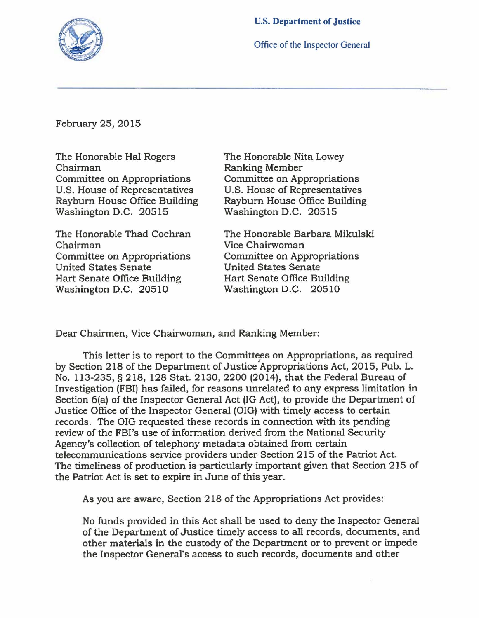

Office of the Inspector General

February 25, 2015

The Honorable Hal Rogers The Honorable Nita Lowey Chairman Ranking Member<br>
Committee on Appropriations Committee on Ap Committee on Appropriations<br>
U.S. House of Representatives<br>
U.S. House of Representatives U.S. House of Representatives U.S. House of Representatives<br>Rayburn House Office Building Rayburn House Office Building

Chairman<br>
Committee on Appropriations<br>
Committee on Appropriations Committee on Appropriations<br>United States Senate United States Senate<br>
Hart Senate Office Building<br>
Hart Senate Office Bu Hart Senate Office Building<br>
Washington D.C. 20510<br>
Washington D.C. 20510

Rayburn House Office Building<br>Washington D.C. 20515<br>Washington D.C. 20515 Washington D.C. 20515

The Honorable Thad Cochran The Honorable Barbara Mikulski Washington D.C. 20510

Dear Chairmen, Vice Chairwoman, and Ranking Member:

This letter is to report to the Committees on Appropriations, as required by Section 218 of the Department of Justice Appropriations Act, 2015, Pub. L. No. 113-235, § 218,128 Stat. 2130, 2200 (2014), that the Federal Bureau of Investigation (FBI) has failed, for reasons unrelated to any express limitation in Section 6(a) of the Inspector General Act (IG Act), to provide the Department of Justice Office of the Inspector General (OIG) with timely access to certain records. The OIG requested these records in connection with its pending review of the FBI's use of information derived from the National Security Agency's collection of telephony metadata obtained from certain telecommunications service providers under Section 215 of the Patriot Act. The timeliness of production is particularly important given that Section 215 of the Patriot Act is set to expire in June of this year.

As you are aware, Section 218 of the Appropriations Act provides:

No funds provided in this Act shall be used to deny the Inspector General of the Department of Justice timely access to all records, documents, and other materials in the custody of the Department or to prevent or impede the Inspector General's access to such records, documents and other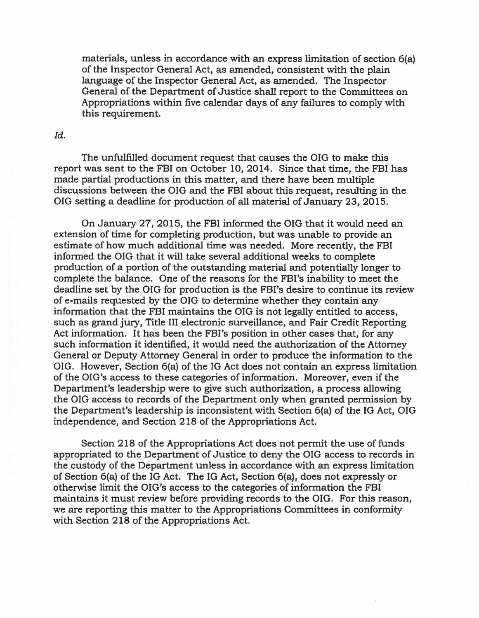materials, unless in accordance with an express limitation of section 6(a) of the Inspector General Act, as amended, consistent with the plain language of the Inspector General Act, as amended. The Inspector General of the Department of Justice shall report to the Committees on Appropriations within five calendar days of any failures to comply with this requirement.

*[d.* 

The unfulfIlled document request that causes the OIG to make this report was sent to the FBI on October 10, 2014. Since that time, the FBI has made partial productions in this matter, and there have been multiple discussions between the OIG and the FBI about this request, resulting in the OIG setting a deadline for production of all material of January 23, 2015.

On January 27, 2015, the FBI informed the OIG that it would need an extension of time for completing production, but was unable to provide an estimate of how much additional time was needed. More recently, the FBI informed the OIG that it will take several additional weeks to complete production of a portion of the outstanding material and potentially longer to complete the balance. One of the reasons for the FBI's inability to meet the deadline set by the OIG for production is the FBI's desire to continue its review of e-mails requested by the OIG to determine whether they contain any information that the FBI maintains the OIG is not legally entitled to access, such as grand jury, Title III electronic surveillance, and Fair Credit Reporting Act information. It has been the FBI's position in other cases that, for any such information it identified, it would need the authorization of the Attorney General or Deputy Attorney General in order to produce the information to the OIG. However, Section 6(a) of the IG Act does not contain an express limitation of the OIG's access to these categories of information. Moreover, even if the Department's leadership were to give such authorization, a process allowing the OIG access to records of the Department only when granted permission by the Department's leadership is inconsistent with Section 6(a) of the IG Act, OIG independence, and Section 218 of the Appropriations Act.

Section 218 of the Appropriations Act does not permit the use of funds appropriated to the Department of Justice to deny the OIG access to records in the custody of the Department unless in accordance with an express limitation of Section 6(a) of the IG Act. The IG Act, Section 6(a), does not expressly or otherwise limit the OIG's access to the categories of information the FBI maintains it must review before providing records to the OIG. For this reason, we are reporting this matter to the Appropriations Committees in conformity with Section 218 of the Appropriations Act.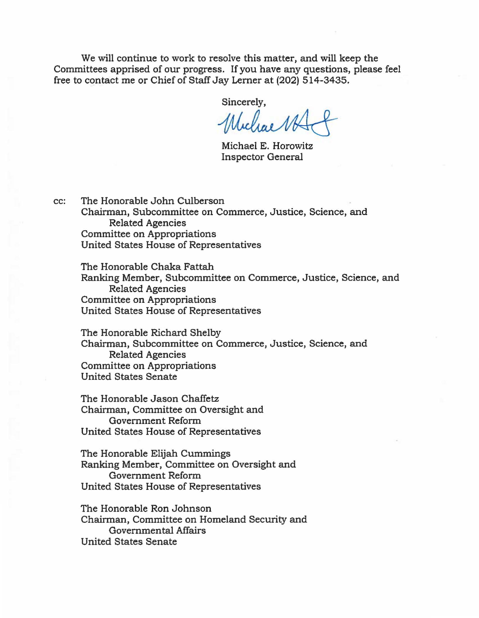We will continue to work to resolve this matter, and will keep the Committees apprised of our progress. If you have any questions, please feel free to contact me or Chief of Staff Jay Lerner at (202) 514-3435.

Sincerely,

Whichae NK

Michael E. Horowitz Inspector General

cc: The Honorable John Culberson Chairman, Subcommittee on Commerce, Justice, Science, and Related Agencies Committee on Appropriations United States House of Representatives

The Honorable Chaka Fattah Ranking Member, Subcommittee on Commerce, Justice, Science, and Related Agencies Committee on Appropriations United States House of Representatives

The Honorable Richard Shelby Chairman, Subcommittee on Commerce, Justice, Science, and Related Agencies Committee on Appropriations United States Senate

The Honorable Jason Chaffetz Chairman, Committee on Oversight and Government Reform United States House of Representatives

The Honorable Elijah Cummings Ranking Member, Committee on Oversight and Government Reform United States House of Representatives

The Honorable Ron Johnson Chairman, Committee on Homeland Security and Governmental Affairs United States Senate